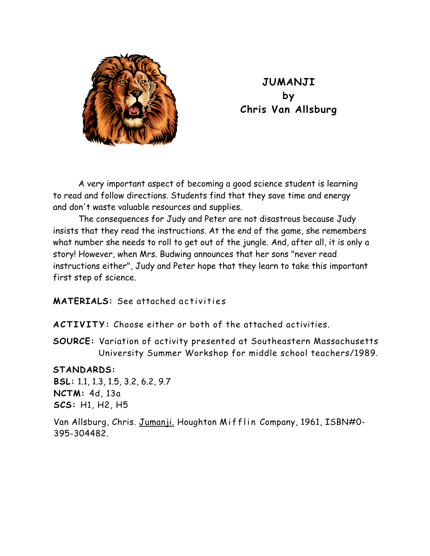

## **JUMANJI by Chris Van Allsburg**

A very important aspect of becoming a good science student is learning to read and follow directions. Students find that they save time and energy and don't waste valuable resources and supplies.

The consequences for Judy and Peter are not disastrous because Judy insists that they read the instructions. At the end of the game, she remembers what number she needs to roll to get out of the jungle. And, after all, it is only a story! However, when Mrs. Budwing announces that her sons "never read instructions either", Judy and Peter hope that they learn to take this important first step of science.

**MATERIALS:** See attached activities

**ACTIVITY:** Choose either or both of the attached activities.

**SOURCE:** Variation of activity presented at Southeastern Massachusetts University Summer Workshop for middle school teachers/1989.

## **STANDARDS:**

**BSL:** 1.1, 1.3, 1.5, 3.2, 6.2, 9.7 **NCTM:** 4d, 13a **SCS:** H1, H2, H5

Van Allsburg, Chris. Jumanji. Houghton Mifflin Company, 1961, ISBN#0- 395-304482.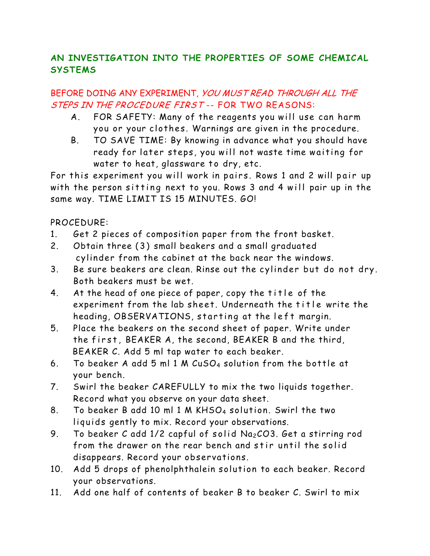## **AN INVESTIGATION INTO THE PROPERTIES OF SOME CHEMICAL SYSTEMS**

## BEFORE DOING ANY EXPERIMENT, YOU MUST READ THROUGH ALL THE STEPS IN THE PROCEDURE FIRST -- FOR TWO REASONS:

- A. FOR SAFETY: Many of the reagents you will use can harm you or your clothes. Warnings are given in the procedure.
- B. TO SAVE TIME: By knowing in advance what you should have ready for later steps, you will not waste time waiting for water to heat, glassware to dry, etc.

For this experiment you will work in pairs. Rows 1 and 2 will pair up with the person sitting next to you. Rows 3 and 4 will pair up in the same way. TIME LIMIT IS 15 MINUTES. GO!

PROCEDURE:

- 1. Get 2 pieces of composition paper from the front basket.
- 2. Obtain three (3) small beakers and a small graduated cylinder from the cabinet at the back near the windows.
- 3. Be sure beakers are clean. Rinse out the cylinder but do not dry. Both beakers must be wet.
- 4. At the head of one piece of paper, copy the title of the experiment from the lab sheet. Underneath the title write the heading, OBSERVATIONS, starting at the left margin.
- 5. Place the beakers on the second sheet of paper. Write under the first, BEAKER A, the second, BEAKER B and the third, BEAKER C. Add 5 ml tap water to each beaker.
- 6. To beaker A add 5 ml 1 M CuSO4 solution from the bottle at your bench.
- 7. Swirl the beaker CAREFULLY to mix the two liquids together. Record what you observe on your data sheet.
- 8. To beaker B add 10 ml 1 M KHSO4 solution. Swirl the two liquids gently to mix. Record your observations.
- 9. To beaker C add  $1/2$  capful of solid  $Na<sub>2</sub>CO3$ . Get a stirring rod from the drawer on the rear bench and stir until the solid disappears. Record your observations.
- 10. Add 5 drops of phenolphthalein solution to each beaker. Record your observations.
- 11. Add one half of contents of beaker B to beaker C. Swirl to mix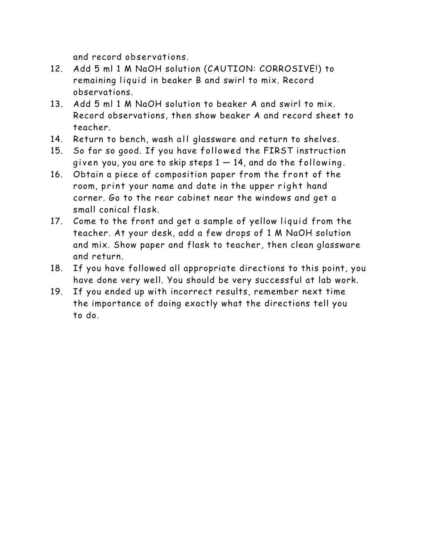and record observations.

- 12. Add 5 ml 1 M NaOH solution (CAUTION: CORROSIVE!) to remaining liquid in beaker B and swirl to mix. Record observations.
- 13. Add 5 ml 1 M NaOH solution to beaker A and swirl to mix. Record observations, then show beaker A and record sheet to teacher.
- 14. Return to bench, wash all glassware and return to shelves.
- 15. So far so good. If you have followed the FIRST instruction given you, you are to skip steps  $1 - 14$ , and do the following.
- 16. Obtain a piece of composition paper from the front of the room, print your name and date in the upper right hand corner. Go to the rear cabinet near the windows and get a small conical flask.
- 17. Come to the front and get a sample of yellow liquid from the teacher. At your desk, add a few drops of 1 M NaOH solution and mix. Show paper and flask to teacher, then clean glassware and return.
- 18. If you have followed all appropriate directions to this point, you have done very well. You should be very successful at lab work.
- 19. If you ended up with incorrect results, remember next time the importance of doing exactly what the directions tell you to do.